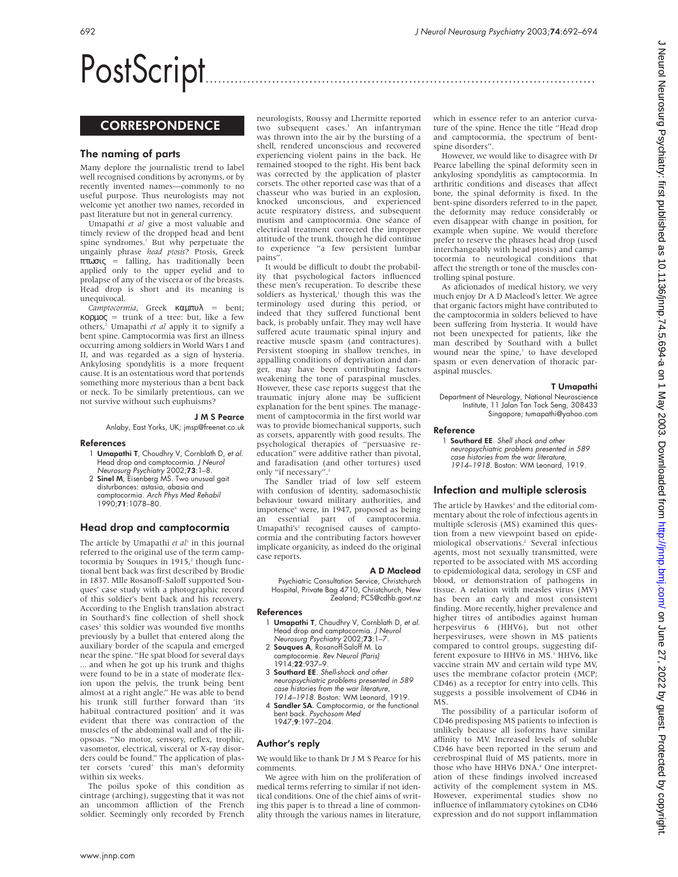# PostScript..............................................................................................

## **CORRESPONDENCE**

## The naming of parts

Many deplore the journalistic trend to label well recognised conditions by acronyms, or by recently invented names—commonly to no useful purpose. Thus neurologists may not welcome yet another two names, recorded in past literature but not in general currency.

Umapathi *et al* give a most valuable and timely review of the dropped head and bent spine syndromes.<sup>1</sup> But why perpetuate the ungainly phrase *head ptosis*? Ptosis, Greek πτωσις = falling, has traditionally been applied only to the upper eyelid and to prolapse of any of the viscera or of the breasts. Head drop is short and its meaning is unequivocal.

*Camptocormia*, Greek καµπυλ = bent; κορµος = trunk of a tree: but, like a few others,2 Umapathi *et al* apply it to signify a bent spine. Camptocormia was first an illness occurring among soldiers in World Wars I and II, and was regarded as a sign of hysteria. Ankylosing spondylitis is a more frequent cause. It is an ostentatious word that portends something more mysterious than a bent back or neck. To be similarly pretentious, can we not survive without such euphuisms?

#### J M S Pearce

Anlaby, East Yorks, UK; jmsp@freenet.co.uk

#### References

- 1 Umapathi T, Choudhry V, Cornblath D, et al. Head drop and camptocormia. J Neurol Neurosurg Psychiatry 2002;73:1–8.
- 2 Sinel M, Eisenberg MS. Two unusual gait disturbances: astasia, abasia and camptocormia. Arch Phys Med Rehabil 1990;71:1078–80.

## Head drop and camptocormia

The article by Umapathi et al<sup>1</sup> in this journal referred to the original use of the term camptocormia by Souques in  $1915$ ,<sup>2</sup> though functional bent back was first described by Brodie in 1837. Mlle Rosanoff-Saloff supported Souques' case study with a photographic record of this soldier's bent back and his recovery. According to the English translation abstract in Southard's fine collection of shell shock cases<sup>3</sup> this soldier was wounded five months previously by a bullet that entered along the auxiliary border of the scapula and emerged near the spine. "He spat blood for several days ... and when he got up his trunk and thighs were found to be in a state of moderate flexion upon the pelvis, the trunk being bent almost at a right angle." He was able to bend his trunk still further forward than 'its habitual contractured position' and it was evident that there was contraction of the muscles of the abdominal wall and of the iliopsoas. "No motor, sensory, reflex, trophic, vasomotor, electrical, visceral or X-ray disorders could be found." The application of plaster corsets 'cured' this man's deformity within six weeks.

The poilus spoke of this condition as cintrage (arching), suggesting that it was not an uncommon affliction of the French soldier. Seemingly only recorded by French

neurologists, Roussy and Lhermitte reported two subsequent cases.<sup>3</sup> An infantryman was thrown into the air by the bursting of a shell, rendered unconscious and recovered experiencing violent pains in the back. He remained stooped to the right. His bent back was corrected by the application of plaster corsets. The other reported case was that of a chasseur who was buried in an explosion, knocked unconscious, and experienced acute respiratory distress, and subsequent mutism and camptocormia. One séance of electrical treatment corrected the improper attitude of the trunk, though he did continue to experience "a few persistent lumbar pains".

It would be difficult to doubt the probability that psychological factors influenced these men's recuperation. To describe these soldiers as hysterical,<sup>1</sup> though this was the terminology used during this period, or indeed that they suffered functional bent back, is probably unfair. They may well have suffered acute traumatic spinal injury and reactive muscle spasm (and contractures). Persistent stooping in shallow trenches, in appalling conditions of deprivation and danger, may have been contributing factors weakening the tone of paraspinal muscles. However, these case reports suggest that the traumatic injury alone may be sufficient explanation for the bent spines. The management of camptocormia in the first world war was to provide biomechanical supports, such as corsets, apparently with good results. The psychological therapies of "persuasive reeducation" were additive rather than pivotal, and faradisation (and other tortures) used only "if necessary".

The Sandler triad of low self esteem with confusion of identity, sadomasochistic behaviour toward military authorities, and impotence<sup>4</sup> were, in 1947, proposed as being an essential part of camptocormia. Umapathi's<sup>1</sup> recognised causes of camptocormia and the contributing factors however implicate organicity, as indeed do the original case reports.

#### A D Macleod

Psychiatric Consultation Service, Christchurch Hospital, Private Bag 4710, Christchurch, New Zealand; PCS@cdhb.govt.nz

#### References

- 1 Umapathi T, Chaudhry V, Cornblath D, et al. Head drop and camptocormia. J Neurol Neurosurg Psychiatry 2002;73:1–7.
- 2 Souques A, Rosanoff-Saloff M. La camptocormie. Rev Neurol (Paris)
- 1914;**22**:937–9. 3 Southard EE. Shell-shock and other
- neuropsychiatric problems presented in 589 case histories from the war literature, 1914–1918. Boston: WM Leonard, 1919.
- 4 Sandler SA. Camptocormia, or the functional bent back. Psychosom Med 1947;9:197–204.

#### Author's reply

We would like to thank Dr J M S Pearce for his comments.

We agree with him on the proliferation of medical terms referring to similar if not identical conditions. One of the chief aims of writing this paper is to thread a line of commonality through the various names in literature,

which in essence refer to an anterior curvature of the spine. Hence the title "Head drop and camptocormia, the spectrum of bentspine disorders".

However, we would like to disagree with Dr Pearce labelling the spinal deformity seen in ankylosing spondylitis as camptocormia. In arthritic conditions and diseases that affect bone, the spinal deformity is fixed. In the bent-spine disorders referred to in the paper, the deformity may reduce considerably or even disappear with change in position, for example when supine. We would therefore prefer to reserve the phrases head drop (used interchangeably with head ptosis) and camptocormia to neurological conditions that affect the strength or tone of the muscles controlling spinal posture.

As aficionados of medical history, we very much enjoy Dr A D Macleod's letter. We agree that organic factors might have contributed to the camptocormia in solders believed to have been suffering from hysteria. It would have not been unexpected for patients, like the man described by Southard with a bullet wound near the spine,<sup>1</sup> to have developed spasm or even denervation of thoracic paraspinal muscles.

#### T Umapathi

Department of Neurology, National Neuroscience Institute, 11 Jalan Tan Tock Seng, 308433 Singapore; tumapathi@yahoo.com

#### Reference

1 Southard EE. Shell shock and other neuropsychiatric problems presented in 589 case histories from the war literature, 1914–1918. Boston: WM Leonard, 1919.

## Infection and multiple sclerosis

The article by Hawkes<sup>1</sup> and the editorial commentary about the role of infectious agents in multiple sclerosis (MS) examined this question from a new viewpoint based on epidemiological observations.2 Several infectious agents, most not sexually transmitted, were reported to be associated with MS according to epidemiological data, serology in CSF and blood, or demonstration of pathogens in tissue. A relation with measles virus (MV) has been an early and most consistent finding. More recently, higher prevalence and higher titres of antibodies against human herpesvirus 6 (HHV6), but not other herpesviruses, were shown in MS patients compared to control groups, suggesting different exposure to HHV6 in MS.<sup>3</sup> HHV6, like vaccine strain MV and certain wild type MV, uses the membrane cofactor protein (MCP; CD46) as a receptor for entry into cells. This suggests a possible involvement of CD46 in MS.

The possibility of a particular isoform of CD46 predisposing MS patients to infection is unlikely because all isoforms have similar affinity to MV. Increased levels of soluble CD46 have been reported in the serum and cerebrospinal fluid of MS patients, more in those who have HHV6 DNA.<sup>4</sup> One interpretation of these findings involved increased activity of the complement system in MS. However, experimental studies show no influence of inflammatory cytokines on CD46 expression and do not support inflammation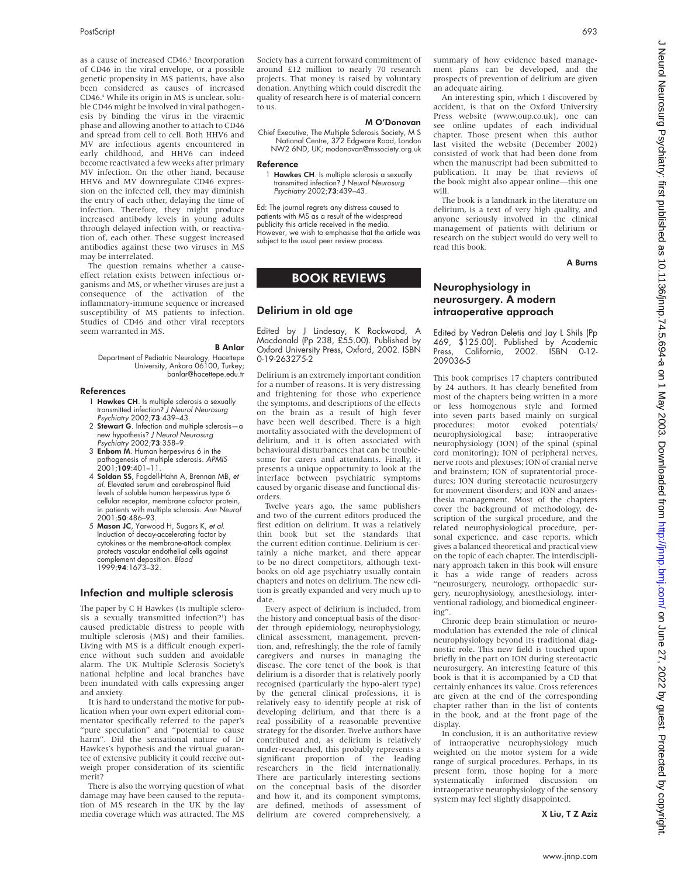as a cause of increased CD46.<sup>5</sup> Incorporation of CD46 in the viral envelope, or a possible genetic propensity in MS patients, have also been considered as causes of increased CD46.4 While its origin in MS is unclear, soluble CD46 might be involved in viral pathogenesis by binding the virus in the viraemic phase and allowing another to attach to CD46 and spread from cell to cell. Both HHV6 and MV are infectious agents encountered in early childhood, and HHV6 can indeed become reactivated a few weeks after primary MV infection. On the other hand, because HHV6 and MV downregulate CD46 expression on the infected cell, they may diminish the entry of each other, delaying the time of infection. Therefore, they might produce increased antibody levels in young adults through delayed infection with, or reactivation of, each other. These suggest increased antibodies against these two viruses in MS may be interrelated.

The question remains whether a causeeffect relation exists between infectious organisms and MS, or whether viruses are just a consequence of the activation of the inflammatory-immune sequence or increased susceptibility of MS patients to infection. Studies of CD46 and other viral receptors seem warranted in MS.

B Anlar

Department of Pediatric Neurology, Hacettepe University, Ankara 06100, Turkey; banlar@hacettepe.edu.tr

#### References

- 1 **Hawkes CH**. Is multiple sclerosis a sexually transmitted infection? J Neurol Neurosurg Psychiatry 2002;73:439–43.
- 2 Stewart G. Infection and multiple sclerosis—a new hypothesis? J Neurol Neurosurg Psychiatry 2002;73:358–9.
- 3 Enbom M. Human herpesvirus 6 in the pathogenesis of multiple sclerosis. APMIS  $2001$ ;109:401–11.
- 4 Soldan SS, Fogdell-Hahn A, Brennan MB, et al. Elevated serum and cerebrospinal fluid levels of soluble human herpesvirus type 6 cellular receptor, membrane cofactor protein, in patients with multiple sclerosis. Ann Neurol 2001;50:486–93.
- 5 Mason JC, Yarwood H, Sugars K, et al. Induction of decay-accelerating factor by cytokines or the membrane-attack complex protects vascular endothelial cells against complement deposition. Blood 1999;94:1673–32.

## Infection and multiple sclerosis

The paper by C H Hawkes (Is multiple sclerosis a sexually transmitted infection?<sup>1</sup>) has caused predictable distress to people with multiple sclerosis (MS) and their families. Living with MS is a difficult enough experience without such sudden and avoidable alarm. The UK Multiple Sclerosis Society's national helpline and local branches have been inundated with calls expressing anger and anxiety.

It is hard to understand the motive for publication when your own expert editorial commentator specifically referred to the paper's "pure speculation" and "potential to cause harm". Did the sensational nature of Dr Hawkes's hypothesis and the virtual guarantee of extensive publicity it could receive outweigh proper consideration of its scientific merit?

There is also the worrying question of what damage may have been caused to the reputation of MS research in the UK by the lay media coverage which was attracted. The MS Society has a current forward commitment of around £12 million to nearly 70 research projects. That money is raised by voluntary donation. Anything which could discredit the quality of research here is of material concern to us.

#### M O'Donovan

Chief Executive, The Multiple Sclerosis Society, M S National Centre, 372 Edgware Road, London NW2 6ND, UK; modonovan@mssociety.org.uk

#### Reference

1 Hawkes CH. Is multiple sclerosis a sexually transmitted infection? J Neurol Neurosurg Psychiatry 2002;73:439–43.

Ed: The journal regrets any distress caused to patients with MS as a result of the widespread publicity this article received in the media. However, we wish to emphasise that the article was subject to the usual peer review process.

## BOOK REVIEWS

## Delirium in old age

Edited by J Lindesay, K Rockwood, A Macdonald (Pp 238, £55.00). Published by Oxford University Press, Oxford, 2002. ISBN 0-19-263275-2

Delirium is an extremely important condition for a number of reasons. It is very distressing and frightening for those who experience the symptoms, and descriptions of the effects on the brain as a result of high fever have been well described. There is a high mortality associated with the development of delirium, and it is often associated with behavioural disturbances that can be troublesome for carers and attendants. Finally, it presents a unique opportunity to look at the interface between psychiatric symptoms caused by organic disease and functional disorders.

Twelve years ago, the same publishers and two of the current editors produced the first edition on delirium. It was a relatively thin book but set the standards that the current edition continue. Delirium is certainly a niche market, and there appear to be no direct competitors, although textbooks on old age psychiatry usually contain chapters and notes on delirium. The new edition is greatly expanded and very much up to date.

Every aspect of delirium is included, from the history and conceptual basis of the disorder through epidemiology, neurophysiology, clinical assessment, management, prevention, and, refreshingly, the the role of family caregivers and nurses in managing the disease. The core tenet of the book is that delirium is a disorder that is relatively poorly recognised (particularly the hypo-alert type) by the general clinical professions, it is relatively easy to identify people at risk of developing delirium, and that there is a real possibility of a reasonable preventive strategy for the disorder. Twelve authors have contributed and, as delirium is relatively under-researched, this probably represents a significant proportion of the leading researchers in the field internationally. There are particularly interesting sections on the conceptual basis of the disorder and how it, and its component symptoms, are defined, methods of assessment of delirium are covered comprehensively, a summary of how evidence based management plans can be developed, and the prospects of prevention of delirium are given an adequate airing.

An interesting spin, which I discovered by accident, is that on the Oxford University Press website (www.oup.co.uk), one can see online updates of each individual chapter. Those present when this author last visited the website (December 2002) consisted of work that had been done from when the manuscript had been submitted to publication. It may be that reviews of the book might also appear online—this one will.

The book is a landmark in the literature on delirium, is a text of very high quality, and anyone seriously involved in the clinical management of patients with delirium or research on the subject would do very well to read this book.

A Burns

## Neurophysiology in neurosurgery. A modern intraoperative approach

Edited by Vedran Deletis and Jay L Shils (Pp 469, \$125.00). Published by Academic California, 2002. ISBN 0-12-209036-5

This book comprises 17 chapters contributed by 24 authors. It has clearly benefited from most of the chapters being written in a more or less homogenous style and formed into seven parts based mainly on surgical procedures: motor evoked potentials/<br>
neurophysiological base: intraoperative neurophysiological base; neurophysiology (ION) of the spinal (spinal cord monitoring); ION of peripheral nerves, nerve roots and plexuses; ION of cranial nerve and brainstem; ION of supratentorial procedures; ION during stereotactic neurosurgery for movement disorders; and ION and anaesthesia management. Most of the chapters cover the background of methodology, description of the surgical procedure, and the related neurophysiological procedure, personal experience, and case reports, which gives a balanced theoretical and practical view on the topic of each chapter. The interdisciplinary approach taken in this book will ensure it has a wide range of readers across "neurosurgery, neurology, orthopaedic surgery, neurophysiology, anesthesiology, interventional radiology, and biomedical engineering".

Chronic deep brain stimulation or neuromodulation has extended the role of clinical neurophysiology beyond its traditional diagnostic role. This new field is touched upon briefly in the part on ION during stereotactic neurosurgery. An interesting feature of this book is that it is accompanied by a CD that certainly enhances its value. Cross references are given at the end of the corresponding chapter rather than in the list of contents in the book, and at the front page of the display.

In conclusion, it is an authoritative review of intraoperative neurophysiology much weighted on the motor system for a wide range of surgical procedures. Perhaps, in its present form, those hoping for a more systematically informed discussion on intraoperative neurophysiology of the sensory system may feel slightly disappointed.

X Liu, T Z Aziz